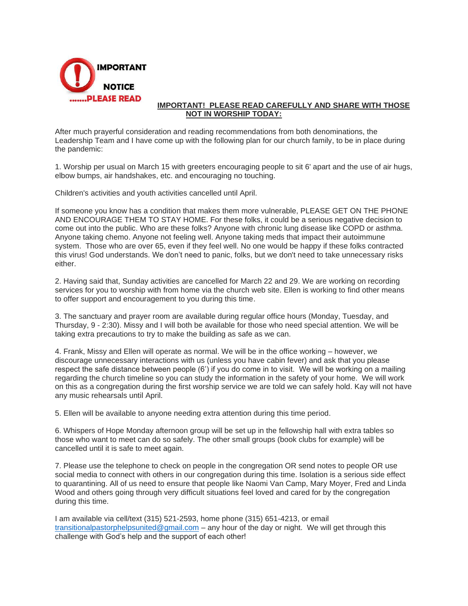

## **IMPORTANT! PLEASE READ CAREFULLY AND SHARE WITH THOSE NOT IN WORSHIP TODAY:**

After much prayerful consideration and reading recommendations from both denominations, the Leadership Team and I have come up with the following plan for our church family, to be in place during the pandemic:

1. Worship per usual on March 15 with greeters encouraging people to sit 6' apart and the use of air hugs, elbow bumps, air handshakes, etc. and encouraging no touching.

Children's activities and youth activities cancelled until April.

If someone you know has a condition that makes them more vulnerable, PLEASE GET ON THE PHONE AND ENCOURAGE THEM TO STAY HOME. For these folks, it could be a serious negative decision to come out into the public. Who are these folks? Anyone with chronic lung disease like COPD or asthma. Anyone taking chemo. Anyone not feeling well. Anyone taking meds that impact their autoimmune system. Those who are over 65, even if they feel well. No one would be happy if these folks contracted this virus! God understands. We don't need to panic, folks, but we don't need to take unnecessary risks either.

2. Having said that, Sunday activities are cancelled for March 22 and 29. We are working on recording services for you to worship with from home via the church web site. Ellen is working to find other means to offer support and encouragement to you during this time.

3. The sanctuary and prayer room are available during regular office hours (Monday, Tuesday, and Thursday, 9 - 2:30). Missy and I will both be available for those who need special attention. We will be taking extra precautions to try to make the building as safe as we can.

4. Frank, Missy and Ellen will operate as normal. We will be in the office working – however, we discourage unnecessary interactions with us (unless you have cabin fever) and ask that you please respect the safe distance between people (6') if you do come in to visit. We will be working on a mailing regarding the church timeline so you can study the information in the safety of your home. We will work on this as a congregation during the first worship service we are told we can safely hold. Kay will not have any music rehearsals until April.

5. Ellen will be available to anyone needing extra attention during this time period.

6. Whispers of Hope Monday afternoon group will be set up in the fellowship hall with extra tables so those who want to meet can do so safely. The other small groups (book clubs for example) will be cancelled until it is safe to meet again.

7. Please use the telephone to check on people in the congregation OR send notes to people OR use social media to connect with others in our congregation during this time. Isolation is a serious side effect to quarantining. All of us need to ensure that people like Naomi Van Camp, Mary Moyer, Fred and Linda Wood and others going through very difficult situations feel loved and cared for by the congregation during this time.

I am available via cell/text (315) 521-2593, home phone (315) 651-4213, or email [transitionalpastorphelpsunited@gmail.com](mailto:transitionalpastorphelpsunited@gmail.com) – any hour of the day or night. We will get through this challenge with God's help and the support of each other!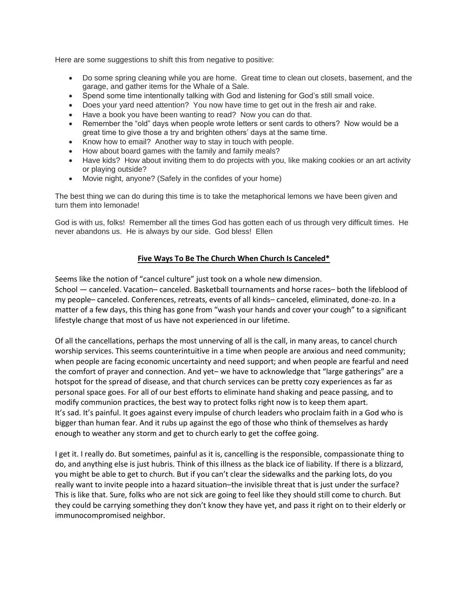Here are some suggestions to shift this from negative to positive:

- Do some spring cleaning while you are home. Great time to clean out closets, basement, and the garage, and gather items for the Whale of a Sale.
- Spend some time intentionally talking with God and listening for God's still small voice.
- Does your yard need attention? You now have time to get out in the fresh air and rake.
- Have a book you have been wanting to read? Now you can do that.
- Remember the "old" days when people wrote letters or sent cards to others? Now would be a great time to give those a try and brighten others' days at the same time.
- Know how to email? Another way to stay in touch with people.
- How about board games with the family and family meals?
- Have kids? How about inviting them to do projects with you, like making cookies or an art activity or playing outside?
- Movie night, anyone? (Safely in the confides of your home)

The best thing we can do during this time is to take the metaphorical lemons we have been given and turn them into lemonade!

God is with us, folks! Remember all the times God has gotten each of us through very difficult times. He never abandons us. He is always by our side. God bless! Ellen

## **Five Ways To Be The Church When Church Is Canceled\***

Seems like the notion of "cancel culture" just took on a whole new dimension. School — canceled. Vacation– canceled. Basketball tournaments and horse races– both the lifeblood of my people– canceled. Conferences, retreats, events of all kinds– canceled, eliminated, done-zo. In a matter of a few days, this thing has gone from "wash your hands and cover your cough" to a significant lifestyle change that most of us have not experienced in our lifetime.

Of all the cancellations, perhaps the most unnerving of all is the call, in many areas, to cancel church worship services. This seems counterintuitive in a time when people are anxious and need community; when people are facing economic uncertainty and need support; and when people are fearful and need the comfort of prayer and connection. And yet– we have to acknowledge that "large gatherings" are a hotspot for the spread of disease, and that church services can be pretty cozy experiences as far as personal space goes. For all of our best efforts to eliminate hand shaking and peace passing, and to modify communion practices, the best way to protect folks right now is to keep them apart. It's sad. It's painful. It goes against every impulse of church leaders who proclaim faith in a God who is bigger than human fear. And it rubs up against the ego of those who think of themselves as hardy enough to weather any storm and get to church early to get the coffee going.

I get it. I really do. But sometimes, painful as it is, cancelling is the responsible, compassionate thing to do, and anything else is just hubris. Think of this illness as the black ice of liability. If there is a blizzard, you might be able to get to church. But if you can't clear the sidewalks and the parking lots, do you really want to invite people into a hazard situation–the invisible threat that is just under the surface? This is like that. Sure, folks who are not sick are going to feel like they should still come to church. But they could be carrying something they don't know they have yet, and pass it right on to their elderly or immunocompromised neighbor.